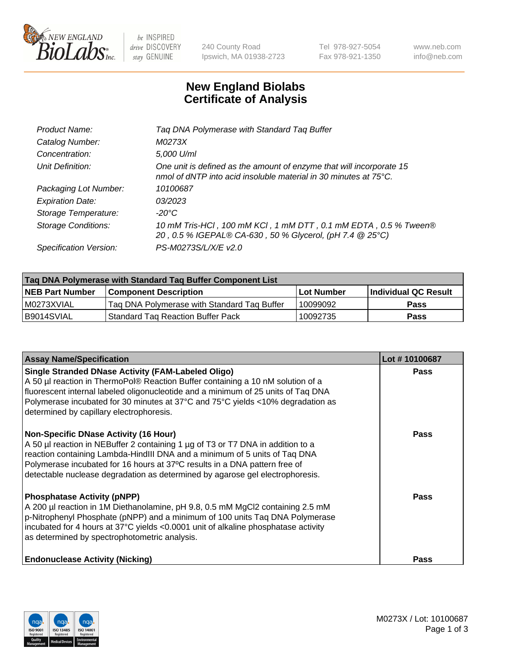

be INSPIRED drive DISCOVERY stay GENUINE

240 County Road Ipswich, MA 01938-2723 Tel 978-927-5054 Fax 978-921-1350 www.neb.com info@neb.com

## **New England Biolabs Certificate of Analysis**

| Product Name:           | Tag DNA Polymerase with Standard Tag Buffer                                                                                                        |
|-------------------------|----------------------------------------------------------------------------------------------------------------------------------------------------|
| Catalog Number:         | M0273X                                                                                                                                             |
| Concentration:          | 5,000 U/ml                                                                                                                                         |
| Unit Definition:        | One unit is defined as the amount of enzyme that will incorporate 15<br>nmol of dNTP into acid insoluble material in 30 minutes at $75^{\circ}$ C. |
| Packaging Lot Number:   | 10100687                                                                                                                                           |
| <b>Expiration Date:</b> | 03/2023                                                                                                                                            |
| Storage Temperature:    | $-20^{\circ}$ C                                                                                                                                    |
| Storage Conditions:     | 10 mM Tris-HCl, 100 mM KCl, 1 mM DTT, 0.1 mM EDTA, 0.5 % Tween®<br>20, 0.5 % IGEPAL® CA-630, 50 % Glycerol, (pH 7.4 @ 25°C)                        |
| Specification Version:  | PS-M0273S/L/X/E v2.0                                                                                                                               |

| Tag DNA Polymerase with Standard Tag Buffer Component List |                                             |                   |                      |  |
|------------------------------------------------------------|---------------------------------------------|-------------------|----------------------|--|
| <b>NEB Part Number</b>                                     | Component Description_                      | <b>Lot Number</b> | Individual QC Result |  |
| M0273XVIAL                                                 | Tag DNA Polymerase with Standard Tag Buffer | 10099092          | Pass                 |  |
| B9014SVIAL                                                 | <b>Standard Tag Reaction Buffer Pack</b>    | 10092735          | <b>Pass</b>          |  |

| <b>Assay Name/Specification</b>                                                                                                                                                                                                                                                                                                                                              | Lot #10100687 |
|------------------------------------------------------------------------------------------------------------------------------------------------------------------------------------------------------------------------------------------------------------------------------------------------------------------------------------------------------------------------------|---------------|
| <b>Single Stranded DNase Activity (FAM-Labeled Oligo)</b><br>A 50 µl reaction in ThermoPol® Reaction Buffer containing a 10 nM solution of a<br>fluorescent internal labeled oligonucleotide and a minimum of 25 units of Taq DNA<br>Polymerase incubated for 30 minutes at 37°C and 75°C yields <10% degradation as<br>determined by capillary electrophoresis.             | <b>Pass</b>   |
| <b>Non-Specific DNase Activity (16 Hour)</b><br>A 50 µl reaction in NEBuffer 2 containing 1 µg of T3 or T7 DNA in addition to a<br>reaction containing Lambda-HindIII DNA and a minimum of 5 units of Taq DNA<br>Polymerase incubated for 16 hours at 37°C results in a DNA pattern free of<br>detectable nuclease degradation as determined by agarose gel electrophoresis. | <b>Pass</b>   |
| <b>Phosphatase Activity (pNPP)</b><br>A 200 µl reaction in 1M Diethanolamine, pH 9.8, 0.5 mM MgCl2 containing 2.5 mM<br>$\vert$ p-Nitrophenyl Phosphate (pNPP) and a minimum of 100 units Taq DNA Polymerase<br>incubated for 4 hours at 37°C yields <0.0001 unit of alkaline phosphatase activity<br>as determined by spectrophotometric analysis.                          | <b>Pass</b>   |
| <b>Endonuclease Activity (Nicking)</b>                                                                                                                                                                                                                                                                                                                                       | <b>Pass</b>   |

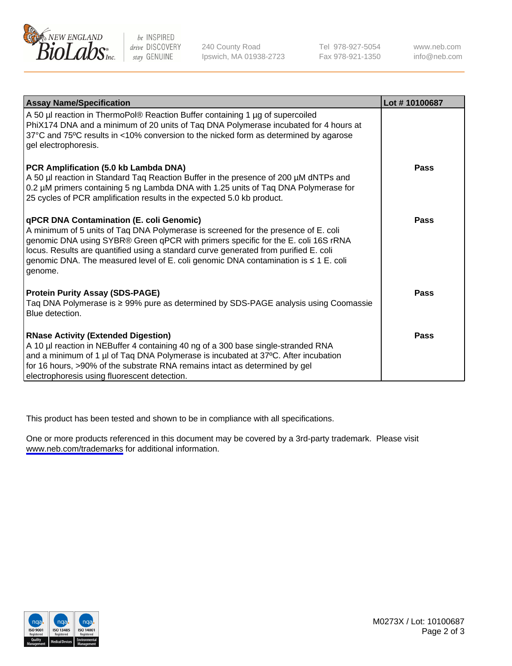

be INSPIRED drive DISCOVERY stay GENUINE

240 County Road Ipswich, MA 01938-2723 Tel 978-927-5054 Fax 978-921-1350

www.neb.com info@neb.com

| <b>Assay Name/Specification</b>                                                                                                                                                                                                                                                                                                                                                                                      | Lot #10100687 |
|----------------------------------------------------------------------------------------------------------------------------------------------------------------------------------------------------------------------------------------------------------------------------------------------------------------------------------------------------------------------------------------------------------------------|---------------|
| A 50 µl reaction in ThermoPol® Reaction Buffer containing 1 µg of supercoiled<br>PhiX174 DNA and a minimum of 20 units of Taq DNA Polymerase incubated for 4 hours at<br>37°C and 75°C results in <10% conversion to the nicked form as determined by agarose<br>gel electrophoresis.                                                                                                                                |               |
| PCR Amplification (5.0 kb Lambda DNA)<br>A 50 µl reaction in Standard Taq Reaction Buffer in the presence of 200 µM dNTPs and<br>0.2 µM primers containing 5 ng Lambda DNA with 1.25 units of Taq DNA Polymerase for<br>25 cycles of PCR amplification results in the expected 5.0 kb product.                                                                                                                       | Pass          |
| <b>qPCR DNA Contamination (E. coli Genomic)</b><br>A minimum of 5 units of Taq DNA Polymerase is screened for the presence of E. coli<br>genomic DNA using SYBR® Green qPCR with primers specific for the E. coli 16S rRNA<br>locus. Results are quantified using a standard curve generated from purified E. coli<br>genomic DNA. The measured level of E. coli genomic DNA contamination is ≤ 1 E. coli<br>genome. | Pass          |
| <b>Protein Purity Assay (SDS-PAGE)</b><br>Taq DNA Polymerase is ≥ 99% pure as determined by SDS-PAGE analysis using Coomassie<br>Blue detection.                                                                                                                                                                                                                                                                     | Pass          |
| <b>RNase Activity (Extended Digestion)</b><br>A 10 µl reaction in NEBuffer 4 containing 40 ng of a 300 base single-stranded RNA<br>and a minimum of 1 µl of Taq DNA Polymerase is incubated at 37°C. After incubation<br>for 16 hours, >90% of the substrate RNA remains intact as determined by gel<br>electrophoresis using fluorescent detection.                                                                 | <b>Pass</b>   |

This product has been tested and shown to be in compliance with all specifications.

One or more products referenced in this document may be covered by a 3rd-party trademark. Please visit <www.neb.com/trademarks>for additional information.